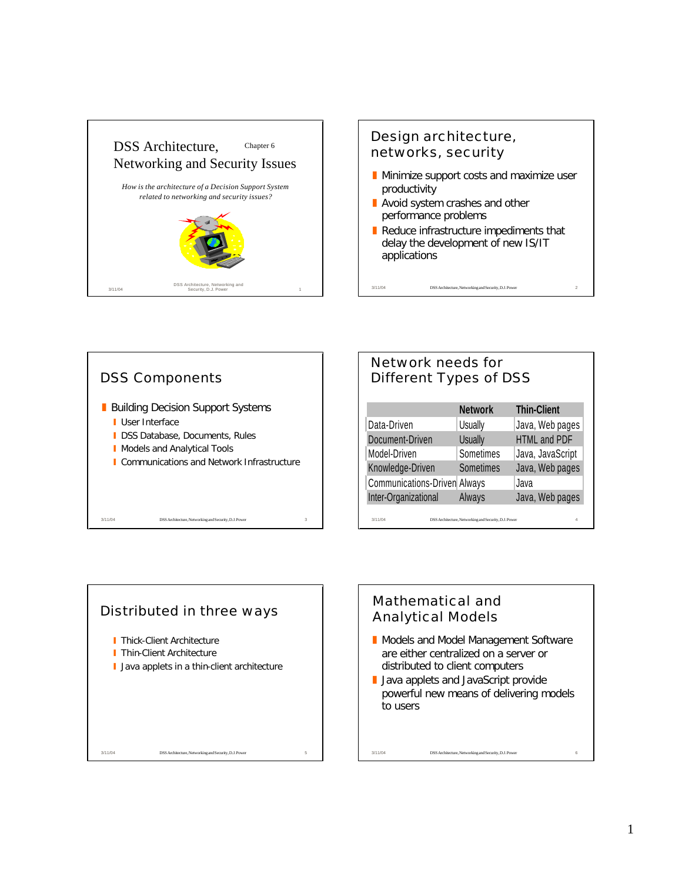

## Design architecture, networks, security

- $\blacksquare$  Minimize support costs and maximize user productivity
- $\blacksquare$  Avoid system crashes and other performance problems

3/11/04 DSS Architecture, Networking and Security, D.J. Power

Reduce infrastructure impediments that delay the development of new IS/IT applications



# 3/11/04 DSS Architecture, Networking and Security, D.J. Power Network needs for Different Types of DSS **Network Thin-Client** Data-Driven | Usually | Java, Web pages Document-Driven Usually HTML and PDF Model-Driven Sometimes Java, JavaScript Knowledge-Driven Sometimes Java, Web pages Communications-Driven Always Java Inter-Organizational Always Java, Web pages



## Mathematical and Analytical Models

3/11/04 DSS Architecture, Networking and Security, D.J. Power

- Models and Model Management Software are either centralized on a server or distributed to client computers
- **Java applets and JavaScript provide** powerful new means of delivering models to users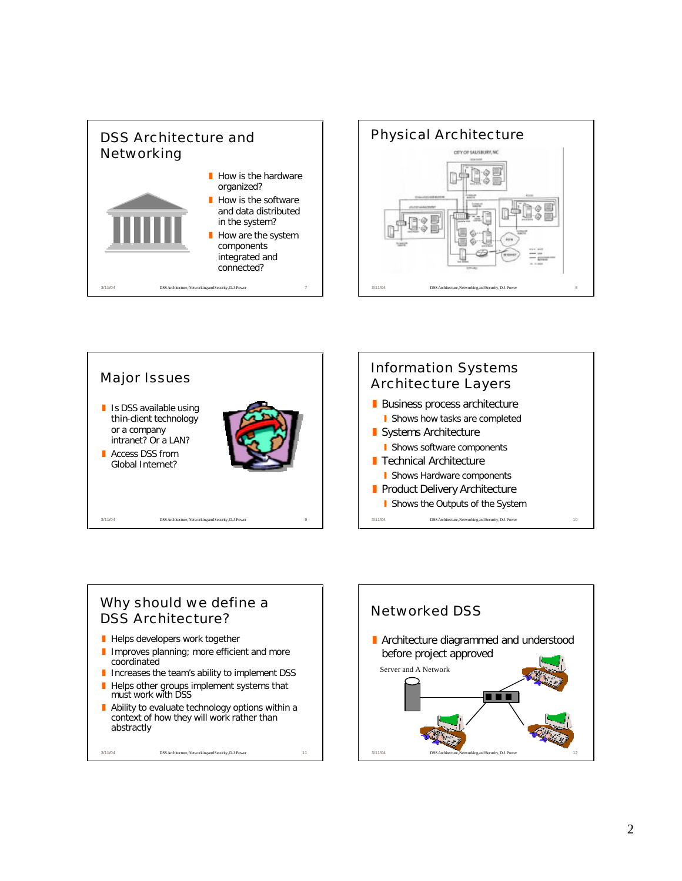

![](_page_1_Figure_1.jpeg)

![](_page_1_Figure_2.jpeg)

#### Why should we define a DSS Architecture?

- $\blacksquare$  Helps developers work together
- I Improves planning; more efficient and more coordinated
- **I** Increases the team's ability to implement DSS
- $\blacksquare$  Helps other groups implement systems that must work with DSS
- Ability to evaluate technology options within a context of how they will work rather than abstractly

3/11/04 DSS Architecture, Networking and Security, D.J. Power 11

Networked DSS **E** Architecture diagrammed and understood before project approved Server and A Network**. . .** 3/11/04 DSS Architecture, Networking and Security, D.J. Power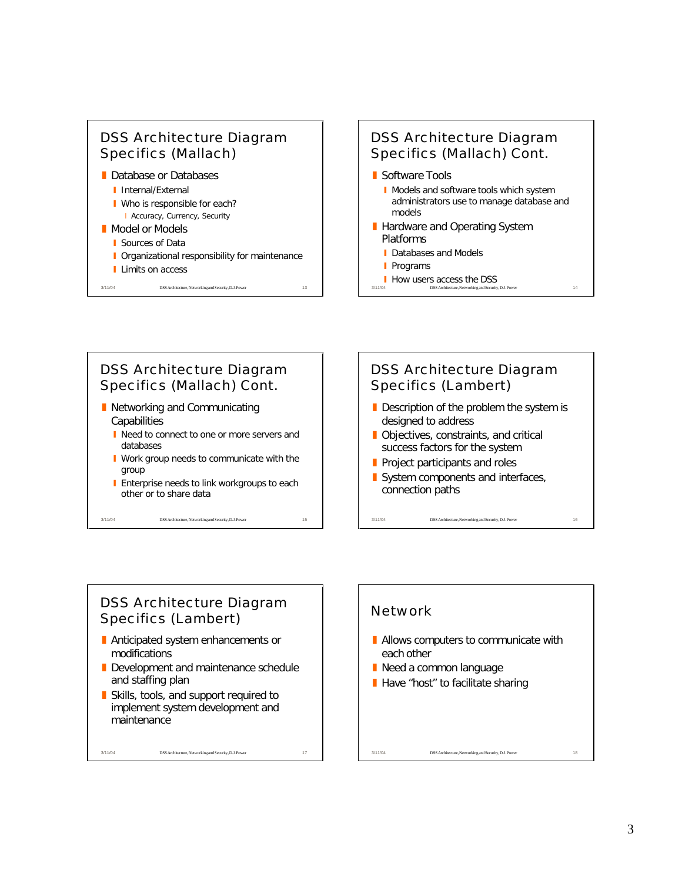![](_page_2_Picture_0.jpeg)

# DSS Architecture Diagram Specifics (Mallach) Cont.

- Software Tools
	- **I** Models and software tools which system administrators use to manage database and models
- Hardware and Operating System Platforms
	- Databases and Models
	- **Programs**
- 3/11/04 DSS Architecture, Networking and Security, D.J. Power 14 **How users access the DSS**

![](_page_2_Figure_8.jpeg)

### DSS Architecture Diagram Specifics (Lambert)

- **Anticipated system enhancements or** modifications
- Development and maintenance schedule and staffing plan

3/11/04 DSS Architecture, Networking and Security, D.J. Power 17

Skills, tools, and support required to implement system development and maintenance

![](_page_2_Figure_13.jpeg)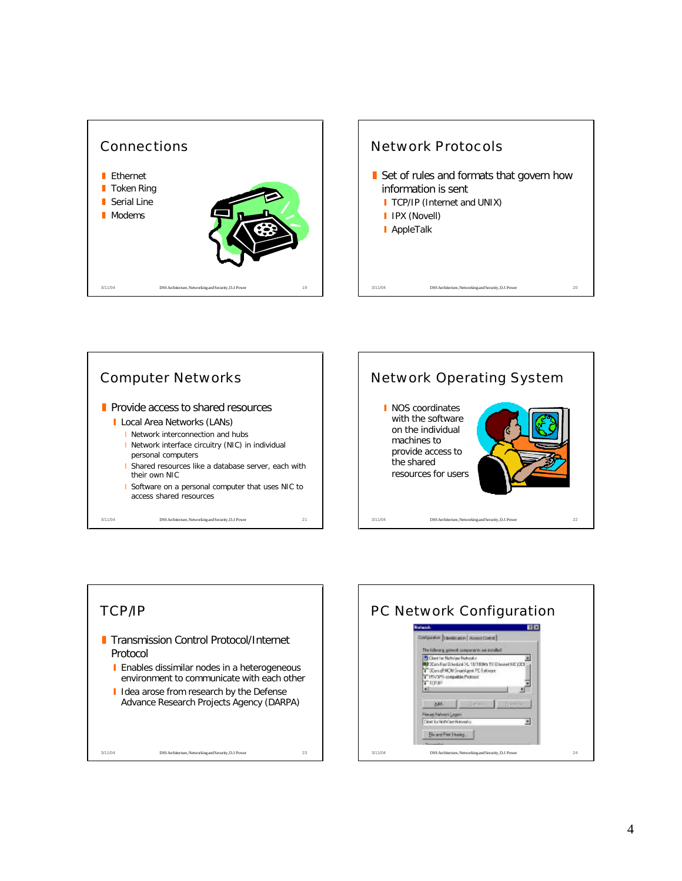![](_page_3_Figure_0.jpeg)

![](_page_3_Figure_1.jpeg)

![](_page_3_Figure_2.jpeg)

![](_page_3_Figure_3.jpeg)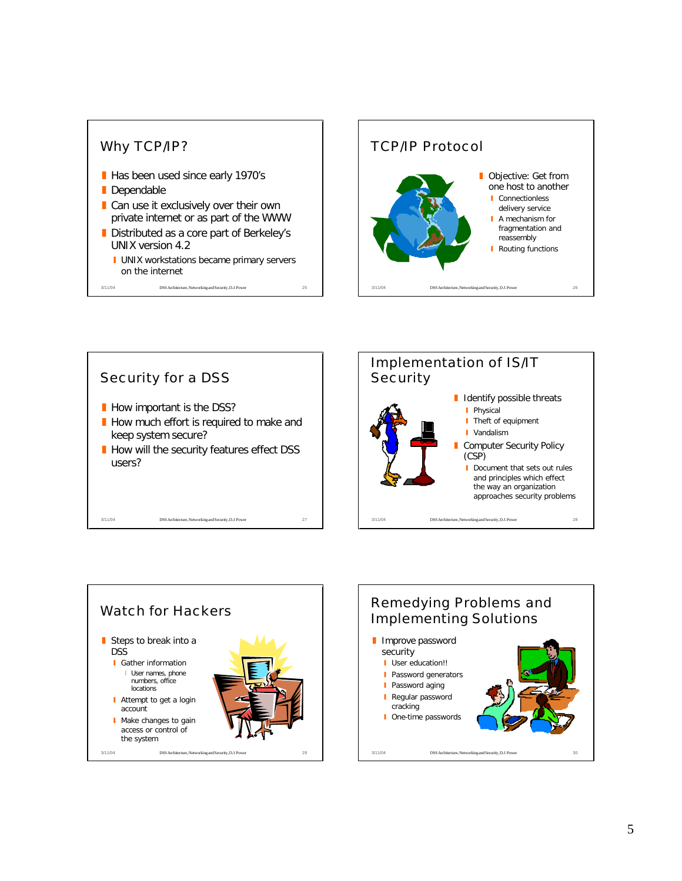![](_page_4_Figure_0.jpeg)

![](_page_4_Figure_1.jpeg)

![](_page_4_Figure_2.jpeg)

![](_page_4_Figure_3.jpeg)

![](_page_4_Figure_4.jpeg)

![](_page_4_Figure_5.jpeg)